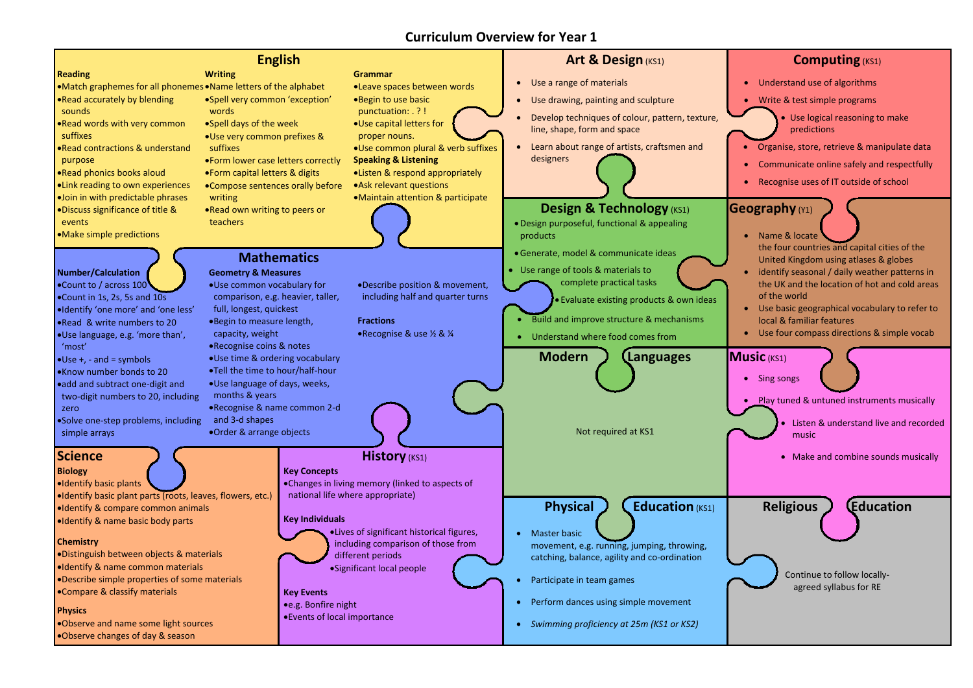### **Reading** Match graphemes for all phonemes Name letters of the alphabet Read accurately by blending sounds Read words with very common suffixes Read contractions & understand purpose Read phonics books aloud Link reading to own experiences Join in with predictable phrases Discuss significance of title & events Make simple predictions **English Writing** Spell very common 'exception' words Spell days of the week Use very common prefixes & suffixes Form lower case letters correctly Form capital letters & digits Compose sentences orally before writing Read own writing to peers or teachers **Grammar** Leave spaces between words Begin to use basic punctuation: . ? ! Use capital letters for proper nouns. Use common plural & verb suffixes **Speaking & Listening** Listen & respond appropriately Ask relevant questions Maintain attention & participate **Art & Design (KS1)**  Use a range of materials Use drawing, painting and sculpture Develop techniques of colour, pattern, texture, line, shape, form and space Learn about range of artists, craftsmen and designers **Design & Technology** (KS1) Design purposeful, functional & appealing products Generate, model & communicate ideas Use range of tools & materials to complete practical tasks Evaluate existing products & own ideas Build and improve structure & mechanisms Understand where food comes from **Number/Calculation** Count to / across 100 Count in 1s, 2s, 5s and 10s Identify 'one more' and 'one less' Read & write numbers to 20 Use language, e.g. 'more than', 'most'  $\bigcup$ se +, - and = symbols Know number bonds to 20 add and subtract one-digit and two-digit numbers to 20, including zero Solve one-step problems, including simple arrays **Mathematics Geometry & Measures** Use common vocabulary for comparison, e.g. heavier, taller, full, longest, quickest Begin to measure length, capacity, weight Recognise coins & notes Use time & ordering vocabulary Tell the time to hour/half-hour Use language of days, weeks, months & years Recognise & name common 2-d and 3-d shapes Order & arrange objects Describe position & movement, including half and quarter turns **Fractions** Recognise & use ½ & ¼ **Modern Languages** Not required at KS1 **Science Combine sounds musically Mistory** (KS1) **Mistory** (KS1) **Combine sounds musically Combine sounds musically Biology** Identify basic plants Identify basic plant parts (roots, leaves, flowers, etc.) Identify & compare common animals I ldentify & name basic body parts **Chemistry** Distinguish between objects & materials Identify & name common materials Describe simple properties of some materials Compare & classify materials **Physics** Observe and name some light sources **History** (KS1) **Key Concepts** Changes in living memory (linked to aspects of national life where appropriate) **Key Individuals** Lives of significant historical figures, including comparison of those from different periods Significant local people **Key Events** e.g. Bonfire night Events of local importance **Physical J (Education** (KS1) • Master basic movement, e.g. running, jumping, throwing, catching, balance, agility and co-ordination Participate in team games • Perform dances using simple movement *Swimming proficiency at 25m (KS1 or KS2)*



Observe changes of day & season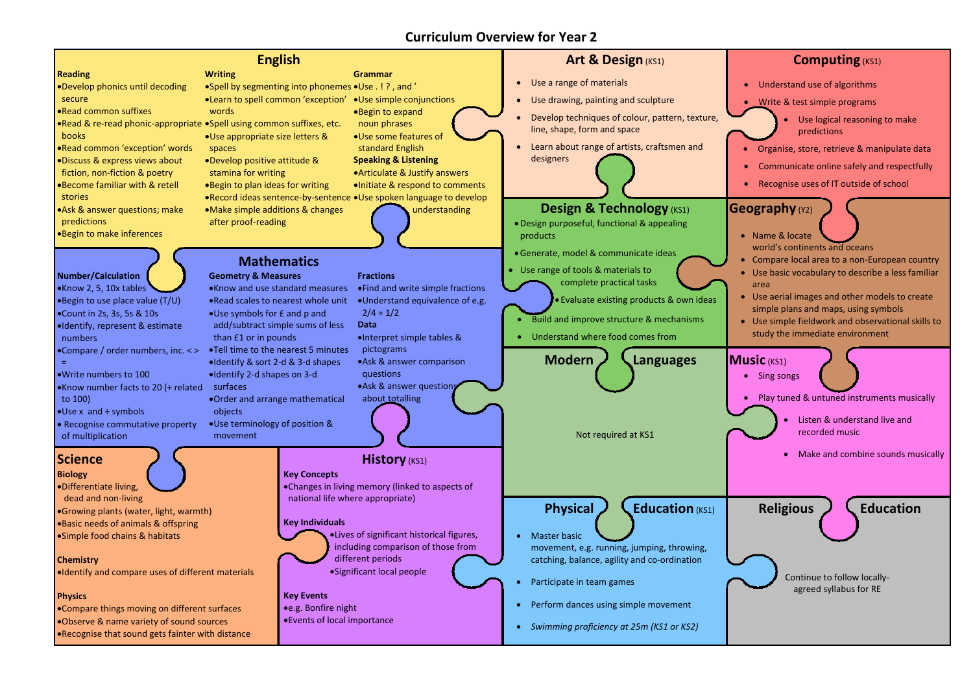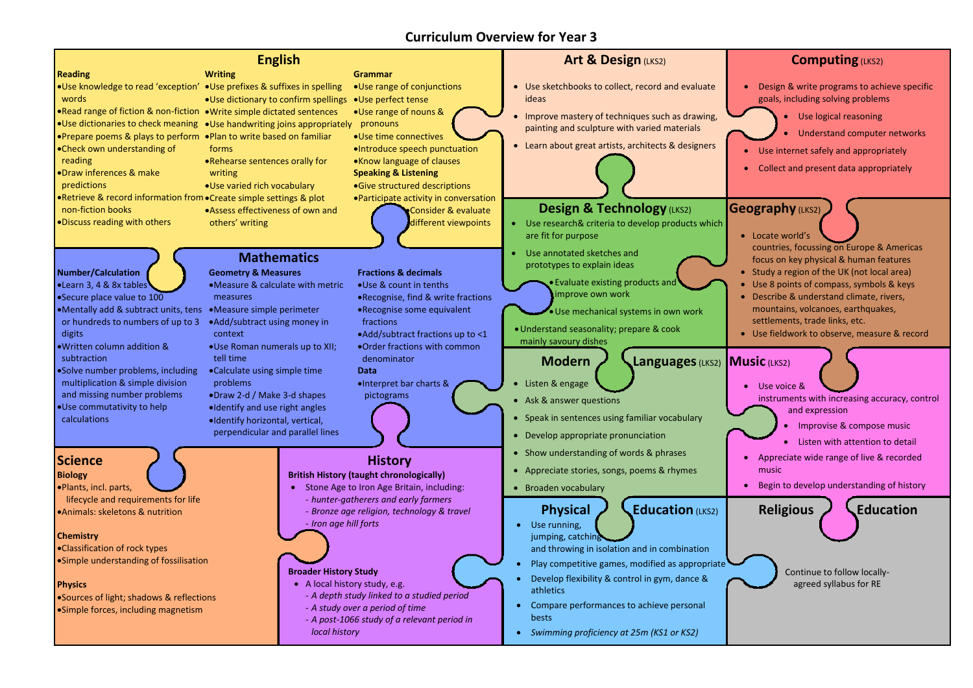**Reading**

words

reading

non-fiction books

Discuss reading with others

### ● Use knowledge to read 'exception' ● Use prefixes & suffixes in spelling .Read range of fiction & non-fiction .Write simple dictated sentences • Use dictionaries to check meaning • Use handwriting joins appropriately pronouns • Prepare poems & plays to perform • Plan to write based on familiar Check own understanding of Draw inferences & make predictions Retrieve & record information from Create simple settings & plot **English Writing** Use dictionary to confirm spellings Use perfect tense forms Rehearse sentences orally for writing Use varied rich vocabulary **Grammar** Use range of conjunctions Use range of nouns & Use time connectives Introduce speech punctuation Know language of clauses **Speaking & Listening** Give structured descriptions **Art & Design (LKS2)**  Use sketchbooks to collect, record and evaluate ideas

### **Design & Technology** (LKS2)

Assess effectiveness of own and

others' writing

**Evaluate existing products and** improve own work

Participate activity in conversation Consider & evaluate different viewpoints

 Improve mastery of techniques such as drawing, painting and sculpture with varied materials

### Learn about great artists, architects & designers

- Learn 3, 4 & 8x tables
- Secure place value to 100
- Mentally add & subtract units, tens or hundreds to numbers of up to 3 digits
- Written column addition & subtraction
- Solve number problems, including multiplication & simple division and missing number problems
- calculations
- Listen & engage
- Ask & answer questions
- Speak in sentences using familiar vocabulary
- Develop appropriate pronunciation
- Show understanding of words & phrases
- Appreciate stories, songs, poems & rhymes
- Broaden vocabulary

- Use research& criteria to develop products which are fit for purpose
- Use annotated sketches and prototypes to explain ideas

Use mechanical systems in own work

Understand seasonality; prepare & cook mainly savoury dishes

### **Modern / Languages** (LKS2)

- Stone Age to Iron Age Britain, including:
- *hunter-gatherers and early farmers* - *Bronze age religion, technology & travel*
	- *Iron age hill forts*

- A local history study, e.g.
	- *A depth study linked to a studied period*
	- *A study over a period of time*
	- *A post-1066 study of a relevant period in local history*

### **Number/Calculation**

- **Physical / Education** (LKS2)
- and throwing in isolation and in combination
- 
- 
- 
- 
- 
- 
- 
- 



## Use commutativity to help

### **Mathematics Geometry & Measures** Measure & calculate with metric measures

- Measure simple perimeter
- Add/subtract using money in context
- Use Roman numerals up to XII;

# tell time

Calculate using simple time problems

- Draw 2-d / Make 3-d shapes
- Identify and use right angles Identify horizontal, vertical,
- perpendicular and parallel lines

### **Fractions & decimals**



- Use & count in tenths
- Recognise, find & write fractions Recognise some equivalent
- fractions Add/subtract fractions up to <1
- Order fractions with common denominator

**Data**

Interpret bar charts & pictograms

### **Science**

### **Biology**

- Plants, incl. parts,
- lifecycle and requirements for life
- Animals: skeletons & nutrition

### **Chemistry**

- Classification of rock types
- Simple understanding of fossilisation

### **Physics**

Sources of light; shadows & reflections Simple forces, including magnetism

### **History**

### **British History (taught chronologically)**

### **Broader History Study**

- Use running, jumping, catching
- Play competitive games, modified as appropriate
- Develop flexibility & control in gym, dance & athletics
- Compare performances to achieve personal bests
- *Swimming proficiency at 25m (KS1 or KS2)*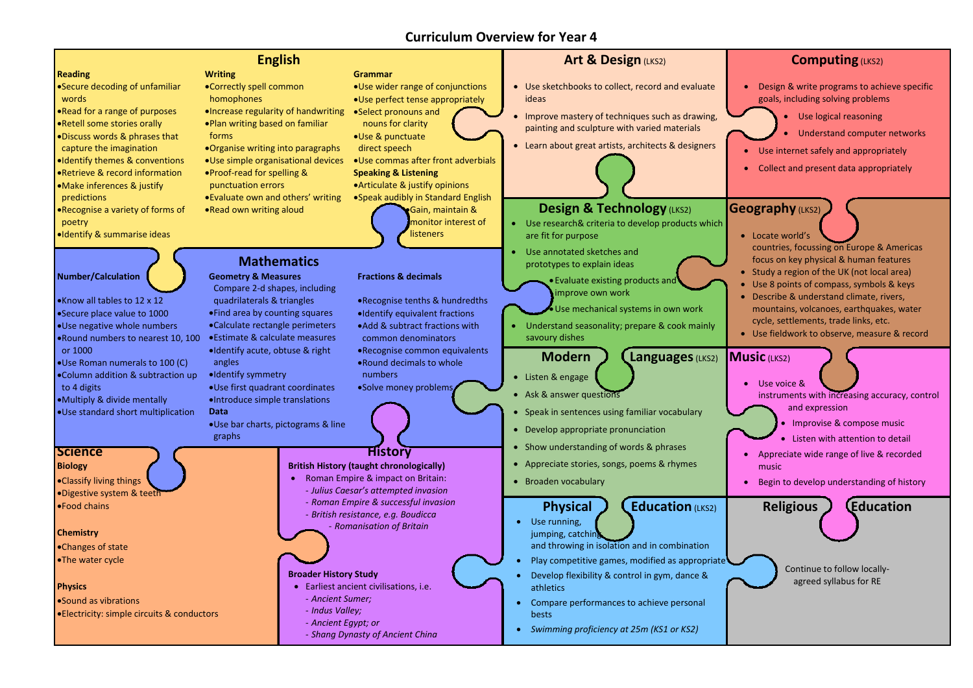### **Reading**

- Secure decoding of unfamiliar words
- Read for a range of purposes
- Retell some stories orally
- Discuss words & phrases that capture the imagination
- Identify themes & conventions
- Retrieve & record information
- Make inferences & justify predictions
- Recognise a variety of forms of poetry
- Identify & summarise ideas
- Use wider range of conjunctions Use perfect tense appropriately
- nouns for clarity
- Use & punctuate direct speech
- Use commas after front adverbials
- **Speaking & Listening**
- Articulate & justify opinions
- Speak audibly in Standard English Gain, maintain & monitor interest of
	- **listeners**

### **English Writing**

- Correctly spell common homophones
- Increase regularity of handwriting Select pronouns and Plan writing based on familiar forms
- Organise writing into paragraphs
- Use simple organisational devices
- Proof-read for spelling & punctuation errors

Evaluate own and others' writing Read own writing aloud

### **Grammar**

• Evaluate existing products and improve own work

- Use sketchbooks to collect, record and evaluate ideas
- Improve mastery of techniques such as drawing, painting and sculpture with varied materials
- Learn about great artists, architects & designers



## **Design & Technology** (LKS2)

- Use research& criteria to develop products which are fit for purpose
- Use annotated sketches and prototypes to explain ideas

Use mechanical systems in own work

 Understand seasonality; prepare & cook mainly savoury dishes

- **Modern J Languages** (LKS2)
- Listen & engage
- Ask & answer questions
- Speak in sentences using familiar vocabulary
- Develop appropriate pronunciation
- Show understanding of words & phrases
- Appreciate stories, songs, poems & rhymes
- Broaden vocabulary

- Sound as vibrations
- Electricity: simple circuits & conductors
- 

- -
- Roman Empire & impact on Britain: - *Julius Caesar's attempted invasion*
	- *Roman Empire & successful invasion*
	- *British resistance, e.g. Boudicca*
	- *Romanisation of Britain*

## **Number/Calculation**

- **Physical J L Education** (LKS2)
- Use running, jumping, catching and throwing in isolation and in combination
- Play competitive games, modified as appropriate
- Develop flexibility & control in gym, dance & athletics
- Compare performances to achieve personal bests
- *Swimming proficiency at 25m (KS1 or KS2)*
- Know all tables to 12 x 12
- Secure place value to 1000
- Use negative whole numbers
- Round numbers to nearest 10, 100 or 1000
- Use Roman numerals to 100 (C)
- Column addition & subtraction up to 4 digits
- Multiply & divide mentally
- Use standard short multiplication

**Mathematics**

**Geometry & Measures**

Compare 2-d shapes, including

quadrilaterals & triangles Find area by counting squares Calculate rectangle perimeters

angles

•Identify symmetry

Use first quadrant coordinates

Introduce simple translations **Data**

Use bar charts, pictograms & line graphs

### **Fractions & decimals**



- Recognise tenths & hundredths
- Identify equivalent fractions
- Add & subtract fractions with
- Estimate & calculate measures Identify acute, obtuse & right common denominators Recognise common equivalents
	- Round decimals to whole numbers

Solve money problems

## **Science**

### **Biology**

- Classify living things
- Digestive system & teeth
- Food chains

### **Chemistry**

- Changes of state
- The water cycle

### **Physics**

### **History**

### **British History (taught chronologically)**

### **Broader History Study**

- Earliest ancient civilisations, i.e.
- *Ancient Sumer;*
- *Indus Valley;*
- *Ancient Egypt; or*
- *Shang Dynasty of Ancient China*

### **Art & Design (LKS2)**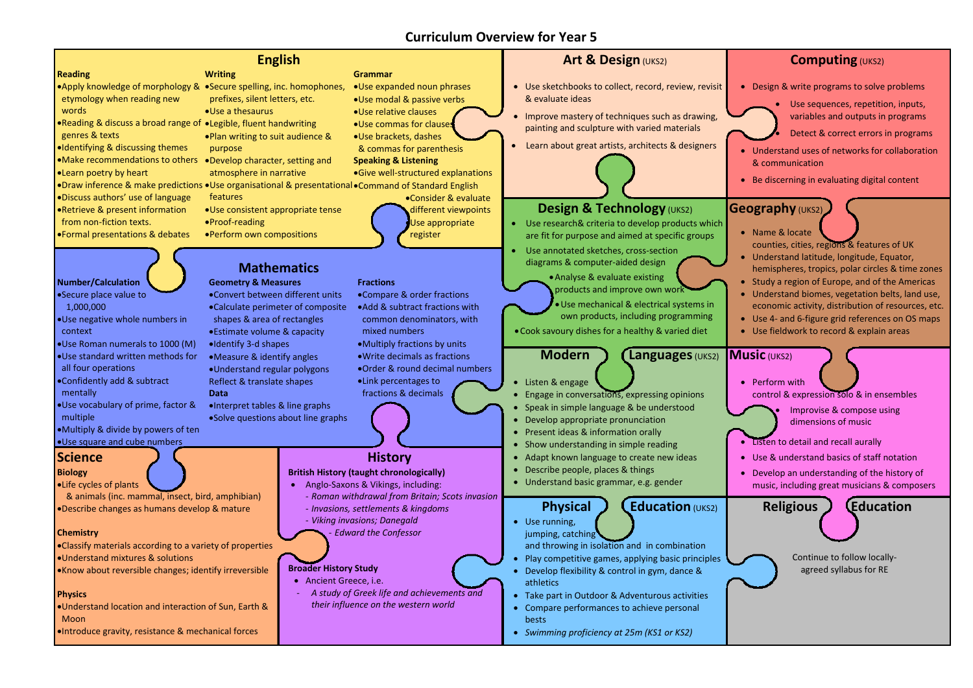**Reading**

words

Discuss authors' use of language Retrieve & present information

from non-fiction texts.

Formal presentations & debates

**Writing**

### • Apply knowledge of morphology & • Secure spelling, inc. homophones, etymology when reading new Reading & discuss a broad range of Legible, fluent handwriting genres & texts Identifying & discussing themes Make recommendations to others Develop character, setting and Learn poetry by heart prefixes, silent letters, etc. Use a thesaurus Plan writing to suit audience & purpose atmosphere in narrative Use expanded noun phrases Use modal & passive verbs Use relative clauses Use commas for clauses Use brackets, dashes & commas for parenthesis **Speaking & Listening** Give well-structured explanations

## **English Grammar**

features

Use consistent appropriate tense

Proof-reading

Perform own compositions

Consider & evaluate different viewpoints Use appropriate register

- Name & locate counties, cities, regions & features of UK
- Understand latitude, longitude, Equator, hemispheres, tropics, polar circles & time zones
- Study a region of Europe, and of the Americas
- Understand biomes, vegetation belts, land use, economic activity, distribution of resources, etc.
- Use 4- and 6-figure grid references on OS maps
- Use fieldwork to record & explain areas

### **Music** (UKS2)

- Use sketchbooks to collect, record, review, revisit & evaluate ideas
- Improve mastery of techniques such as drawing, painting and sculpture with varied materials
- Learn about great artists, architects & designers

## **Design & Technology** (UKS2)

 Use sequences, repetition, inputs, variables and outputs in programs

Detect & correct errors in programs

- Understand uses of networks for collaboration & communication
- Be discerning in evaluating digital content

### **Geography** (UKS2)

- Use research& criteria to develop products which are fit for purpose and aimed at specific groups
- Use annotated sketches, cross-section diagrams & computer-aided design

Analyse & evaluate existing products and improve own work

> • Perform with control & expression solo & in ensembles

Use mechanical & electrical systems in own products, including programming

Cook savoury dishes for a healthy & varied diet

**Modern ) (Languages** (UKS2)

- Anglo-Saxons & Vikings, including:
	- *Roman withdrawal from Britain; Scots invasion* - *Invasions, settlements & kingdoms*
	- *Viking invasions; Danegald*
		- *Edward the Confessor*

 Use running, jumping, catching

## **Number/Calculation**

Secure place value to 1,000,000

Use negative whole numbers in context

- Use Roman numerals to 1000 (M) Use standard written methods for all four operations
- Confidently add & subtract mentally
- Use vocabulary of prime, factor & multiple
- Multiply & divide by powers of ten
- 
- 
- 
- Use square and cube numbers

### **Computing** (UKS2)

• Design & write programs to solve problems



**Mathematics**

**Geometry & Measures**

Convert between different units Calculate perimeter of composite shapes & area of rectangles Estimate volume & capacity

Identify 3-d shapes

Measure & identify angles

·Draw inference & make predictions •Use organisational & presentational •Command of Standard English

- 
- Understand regular polygons Reflect & translate shapes **Data**

Interpret tables & line graphs Solve questions about line graphs

- **Fractions**
	- Compare & order fractions Add & subtract fractions with common denominators, with mixed numbers
- Multiply fractions by units Write decimals as fractions
- Order & round decimal numbers
- Link percentages to

fractions & decimals

- Listen & engage
- Engage in conversations, expressing opinions
- Speak in simple language & be understood
- Develop appropriate pronunciation
- Present ideas & information orally
- Show understanding in simple reading
- Adapt known language to create new ideas
- Describe people, places & things
- Understand basic grammar, e.g. gender

## **Physical ) (Education** (UKS2)

 Improvise & compose using dimensions of music

- Listen to detail and recall aurally
- Use & understand basics of staff notation
- Develop an understanding of the history of music, including great musicians & composers

### **Science**

### **Biology**

- Life cycles of plants
- & animals (inc. mammal, insect, bird, amphibian) Describe changes as humans develop & mature

### **Chemistry**

- Classify materials according to a variety of properties
- Understand mixtures & solutions
- Know about reversible changes; identify irreversible

### **Physics**

- Understand location and interaction of Sun, Earth & Moon
- Introduce gravity, resistance & mechanical forces

## **History**

### **British History (taught chronologically)**

### **Broader History Study**

- Ancient Greece, i.e.
- *A study of Greek life and achievements and their influence on the western world*

### **Art & Design (UKS2)**

and throwing in isolation and in combination

- Play competitive games, applying basic principles
- Develop flexibility & control in gym, dance & athletics
- Take part in Outdoor & Adventurous activities
- Compare performances to achieve personal bests
- *Swimming proficiency at 25m (KS1 or KS2)*





Continue to follow locallyagreed syllabus for RE